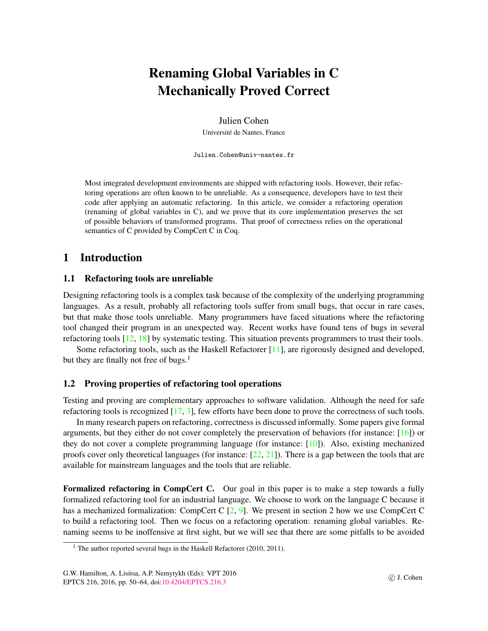# Renaming Global Variables in C Mechanically Proved Correct

Julien Cohen

Universite de Nantes, France ´

Julien.Cohen@univ-nantes.fr

Most integrated development environments are shipped with refactoring tools. However, their refactoring operations are often known to be unreliable. As a consequence, developers have to test their code after applying an automatic refactoring. In this article, we consider a refactoring operation (renaming of global variables in C), and we prove that its core implementation preserves the set of possible behaviors of transformed programs. That proof of correctness relies on the operational semantics of C provided by CompCert C in Coq.

## 1 Introduction

### 1.1 Refactoring tools are unreliable

Designing refactoring tools is a complex task because of the complexity of the underlying programming languages. As a result, probably all refactoring tools suffer from small bugs, that occur in rare cases, but that make those tools unreliable. Many programmers have faced situations where the refactoring tool changed their program in an unexpected way. Recent works have found tens of bugs in several refactoring tools [\[12,](#page-13-0) [18\]](#page-13-1) by systematic testing. This situation prevents programmers to trust their tools.

Some refactoring tools, such as the Haskell Refactorer [\[11\]](#page-12-0), are rigorously designed and developed, but they are finally not free of bugs.<sup>[1](#page-0-0)</sup>

### 1.2 Proving properties of refactoring tool operations

Testing and proving are complementary approaches to software validation. Although the need for safe refactoring tools is recognized [\[17,](#page-13-2) [3\]](#page-12-1), few efforts have been done to prove the correctness of such tools.

In many research papers on refactoring, correctness is discussed informally. Some papers give formal arguments, but they either do not cover completely the preservation of behaviors (for instance:  $[16]$ ) or they do not cover a complete programming language (for instance: [\[10\]](#page-12-2)). Also, existing mechanized proofs cover only theoretical languages (for instance:  $[22, 21]$  $[22, 21]$  $[22, 21]$ ). There is a gap between the tools that are available for mainstream languages and the tools that are reliable.

Formalized refactoring in CompCert C. Our goal in this paper is to make a step towards a fully formalized refactoring tool for an industrial language. We choose to work on the language C because it has a mechanized formalization: CompCert C [\[2,](#page-12-3) [9\]](#page-12-4). We present in section [2](#page-1-0) how we use CompCert C to build a refactoring tool. Then we focus on a refactoring operation: renaming global variables. Renaming seems to be inoffensive at first sight, but we will see that there are some pitfalls to be avoided

<span id="page-0-0"></span><sup>&</sup>lt;sup>1</sup> The author reported several bugs in the Haskell Refactorer (2010, 2011).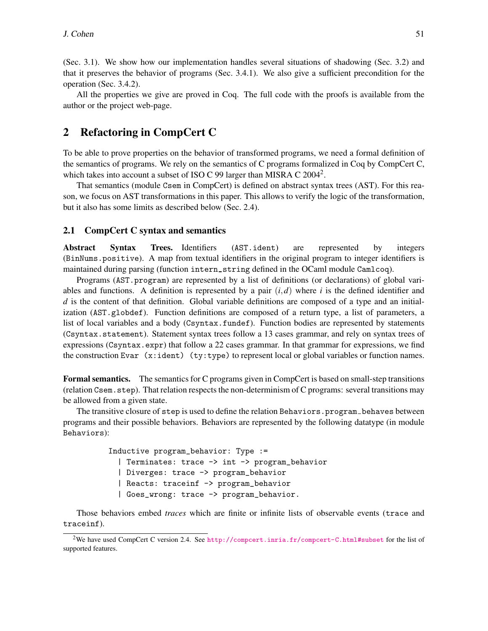(Sec. [3.1\)](#page-3-0). We show how our implementation handles several situations of shadowing (Sec. [3.2\)](#page-5-0) and that it preserves the behavior of programs (Sec. [3.4.1\)](#page-7-0). We also give a sufficient precondition for the operation (Sec. [3.4.2\)](#page-9-0).

All the properties we give are proved in Coq. The full code with the proofs is available from the author or the project web-page.

## <span id="page-1-0"></span>2 Refactoring in CompCert C

To be able to prove properties on the behavior of transformed programs, we need a formal definition of the semantics of programs. We rely on the semantics of C programs formalized in Coq by CompCert C, which takes into account a subset of ISO C 99 larger than MISRA C [2](#page-1-1)004<sup>2</sup>.

That semantics (module Csem in CompCert) is defined on abstract syntax trees (AST). For this reason, we focus on AST transformations in this paper. This allows to verify the logic of the transformation, but it also has some limits as described below (Sec. [2.4\)](#page-3-1).

### 2.1 CompCert C syntax and semantics

Abstract Syntax Trees. Identifiers (AST.ident) are represented by integers (BinNums.positive). A map from textual identifiers in the original program to integer identifiers is maintained during parsing (function intern\_string defined in the OCaml module Camlcoq).

Programs (AST.program) are represented by a list of definitions (or declarations) of global variables and functions. A definition is represented by a pair  $(i,d)$  where *i* is the defined identifier and *d* is the content of that definition. Global variable definitions are composed of a type and an initialization (AST.globdef). Function definitions are composed of a return type, a list of parameters, a list of local variables and a body (Csyntax.fundef). Function bodies are represented by statements (Csyntax.statement). Statement syntax trees follow a 13 cases grammar, and rely on syntax trees of expressions (Csyntax.expr) that follow a 22 cases grammar. In that grammar for expressions, we find the construction Evar  $(x:ident)$   $(ty:type)$  to represent local or global variables or function names.

Formal semantics. The semantics for C programs given in CompCert is based on small-step transitions (relation Csem.step). That relation respects the non-determinism of C programs: several transitions may be allowed from a given state.

The transitive closure of step is used to define the relation Behaviors.program\_behaves between programs and their possible behaviors. Behaviors are represented by the following datatype (in module Behaviors):

> Inductive program\_behavior: Type := | Terminates: trace -> int -> program\_behavior | Diverges: trace -> program\_behavior | Reacts: traceinf -> program\_behavior | Goes\_wrong: trace -> program\_behavior.

Those behaviors embed *traces* which are finite or infinite lists of observable events (trace and traceinf).

<span id="page-1-1"></span><sup>2</sup>We have used CompCert C version 2.4. See <http://compcert.inria.fr/compcert-C.html#subset> for the list of supported features.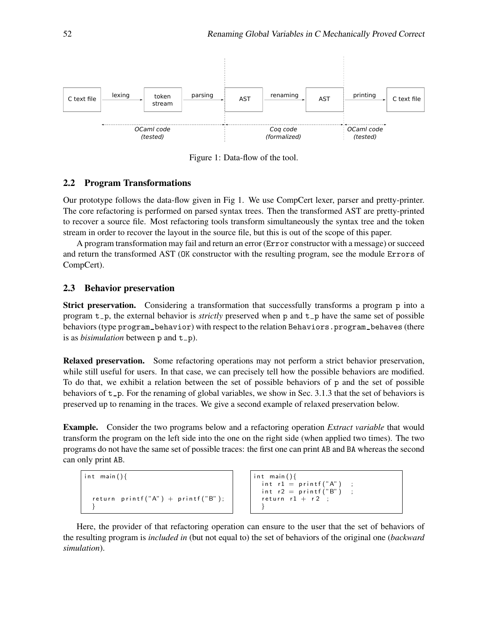

<span id="page-2-0"></span>Figure 1: Data-flow of the tool.

#### 2.2 Program Transformations

Our prototype follows the data-flow given in Fig [1.](#page-2-0) We use CompCert lexer, parser and pretty-printer. The core refactoring is performed on parsed syntax trees. Then the transformed AST are pretty-printed to recover a source file. Most refactoring tools transform simultaneously the syntax tree and the token stream in order to recover the layout in the source file, but this is out of the scope of this paper.

A program transformation may fail and return an error (Error constructor with a message) or succeed and return the transformed AST (OK constructor with the resulting program, see the module Errors of CompCert).

### 2.3 Behavior preservation

Strict preservation. Considering a transformation that successfully transforms a program p into a program t<sub>-p</sub>, the external behavior is *strictly* preserved when p and t<sub>-p</sub> have the same set of possible behaviors (type program behavior) with respect to the relation Behaviors.program behaves (there is as *bisimulation* between  $p$  and  $t$ <sub>-</sub> $p$ ).

<span id="page-2-1"></span>Relaxed preservation. Some refactoring operations may not perform a strict behavior preservation, while still useful for users. In that case, we can precisely tell how the possible behaviors are modified. To do that, we exhibit a relation between the set of possible behaviors of p and the set of possible behaviors of  $t_p$ . For the renaming of global variables, we show in Sec. [3.1.3](#page-4-0) that the set of behaviors is preserved up to renaming in the traces. We give a second example of relaxed preservation below.

Example. Consider the two programs below and a refactoring operation *Extract variable* that would transform the program on the left side into the one on the right side (when applied two times). The two programs do not have the same set of possible traces: the first one can print AB and BA whereas the second can only print AB.

```
int main(){
  return printf ("A") + printf ("B");
  }
```

```
int main(){
  int r1 = print(f''A'') ;
  int r2 = print(f''B'') ;
  return r1 + r2 ;
  }
```
Here, the provider of that refactoring operation can ensure to the user that the set of behaviors of the resulting program is *included in* (but not equal to) the set of behaviors of the original one (*backward simulation*).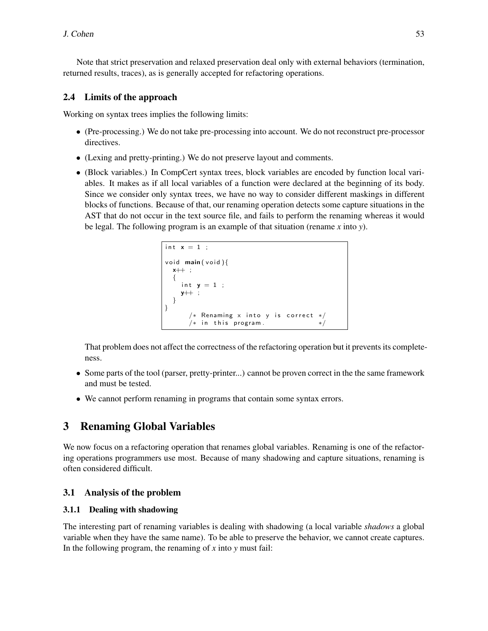Note that strict preservation and relaxed preservation deal only with external behaviors (termination, returned results, traces), as is generally accepted for refactoring operations.

## <span id="page-3-1"></span>2.4 Limits of the approach

Working on syntax trees implies the following limits:

- (Pre-processing.) We do not take pre-processing into account. We do not reconstruct pre-processor directives.
- (Lexing and pretty-printing.) We do not preserve layout and comments.
- (Block variables.) In CompCert syntax trees, block variables are encoded by function local variables. It makes as if all local variables of a function were declared at the beginning of its body. Since we consider only syntax trees, we have no way to consider different maskings in different blocks of functions. Because of that, our renaming operation detects some capture situations in the AST that do not occur in the text source file, and fails to perform the renaming whereas it would be legal. The following program is an example of that situation (rename *x* into *y*).

```
int x = 1 ;
void main (void){
 x++ ;
 {
   int y = 1;
   y++ ;
  }
}
      /* Renaming x into y is correct */
      /* in this program.
```
That problem does not affect the correctness of the refactoring operation but it prevents its completeness.

- Some parts of the tool (parser, pretty-printer...) cannot be proven correct in the the same framework and must be tested.
- We cannot perform renaming in programs that contain some syntax errors.

## 3 Renaming Global Variables

We now focus on a refactoring operation that renames global variables. Renaming is one of the refactoring operations programmers use most. Because of many shadowing and capture situations, renaming is often considered difficult.

## <span id="page-3-0"></span>3.1 Analysis of the problem

## <span id="page-3-2"></span>3.1.1 Dealing with shadowing

The interesting part of renaming variables is dealing with shadowing (a local variable *shadows* a global variable when they have the same name). To be able to preserve the behavior, we cannot create captures. In the following program, the renaming of *x* into *y* must fail: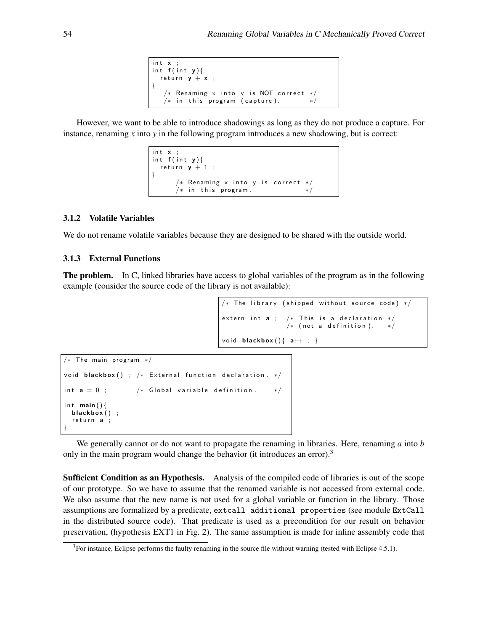```
int x ;
int f(int y){
 return y + x;
}
   /* Renaming \times into y is NOT correct *//* in this program (capture).
```
However, we want to be able to introduce shadowings as long as they do not produce a capture. For instance, renaming *x* into *y* in the following program introduces a new shadowing, but is correct:

```
int x;
int f(int y){
 return y + 1 ;
}
     /* Renaming x into y is correct */
     /* in this program. */
```
#### 3.1.2 Volatile Variables

We do not rename volatile variables because they are designed to be shared with the outside world.

#### <span id="page-4-0"></span>3.1.3 External Functions

The problem. In C, linked libraries have access to global variables of the program as in the following example (consider the source code of the library is not available):

```
/* The library (shipped without source code) */extern int a ; /* This is a declaration *//* (not a definition).
void blackbox(\{a++; \}
```

```
/* The main program */void blackbox () ; /* External function declaration . */
int a = 0; /* Global variable definition. */
int main()\{blackbox();
  return a :
}
```
We generally cannot or do not want to propagate the renaming in libraries. Here, renaming *a* into *b* only in the main program would change the behavior (it introduces an error).<sup>[3](#page-4-1)</sup>

Sufficient Condition as an Hypothesis. Analysis of the compiled code of libraries is out of the scope of our prototype. So we have to assume that the renamed variable is not accessed from external code. We also assume that the new name is not used for a global variable or function in the library. Those assumptions are formalized by a predicate, extcall\_additional\_properties (see module ExtCall in the distributed source code). That predicate is used as a precondition for our result on behavior preservation, (hypothesis EXT1 in Fig. [2\)](#page-8-0). The same assumption is made for inline assembly code that

<span id="page-4-1"></span> $3$ For instance, Eclipse performs the faulty renaming in the source file without warning (tested with Eclipse 4.5.1).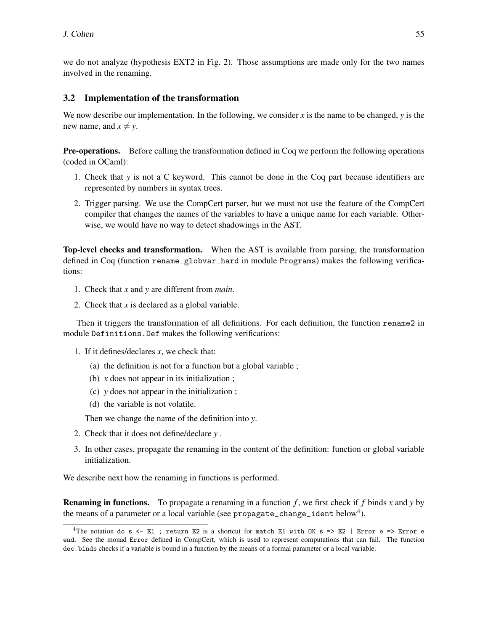we do not analyze (hypothesis EXT2 in Fig. [2\)](#page-8-0). Those assumptions are made only for the two names involved in the renaming.

## <span id="page-5-0"></span>3.2 Implementation of the transformation

We now describe our implementation. In the following, we consider x is the name to be changed,  $y$  is the new name, and  $x \neq y$ .

Pre-operations. Before calling the transformation defined in Coq we perform the following operations (coded in OCaml):

- 1. Check that *y* is not a C keyword. This cannot be done in the Coq part because identifiers are represented by numbers in syntax trees.
- 2. Trigger parsing. We use the CompCert parser, but we must not use the feature of the CompCert compiler that changes the names of the variables to have a unique name for each variable. Otherwise, we would have no way to detect shadowings in the AST.

Top-level checks and transformation. When the AST is available from parsing, the transformation defined in Coq (function rename\_globvar\_hard in module Programs) makes the following verifications:

- 1. Check that *x* and *y* are different from *main*.
- 2. Check that *x* is declared as a global variable.

Then it triggers the transformation of all definitions. For each definition, the function rename2 in module Definitions. Def makes the following verifications:

- 1. If it defines/declares *x*, we check that:
	- (a) the definition is not for a function but a global variable ;
	- (b) *x* does not appear in its initialization ;
	- (c) *y* does not appear in the initialization ;
	- (d) the variable is not volatile.

Then we change the name of the definition into *y*.

- 2. Check that it does not define/declare *y* .
- 3. In other cases, propagate the renaming in the content of the definition: function or global variable initialization.

We describe next how the renaming in functions is performed.

Renaming in functions. To propagate a renaming in a function *f* , we first check if *f* binds *x* and *y* by the means of a parameter or a local variable (see propagate\_change\_ident below<sup>[4](#page-5-1)</sup>).

<span id="page-5-1"></span><sup>&</sup>lt;sup>4</sup>The notation do s <- E1 ; return E2 is a shortcut for match E1 with OK s => E2 | Error e => Error e end. See the monad Error defined in CompCert, which is used to represent computations that can fail. The function dec<sub>-</sub>binds checks if a variable is bound in a function by the means of a formal parameter or a local variable.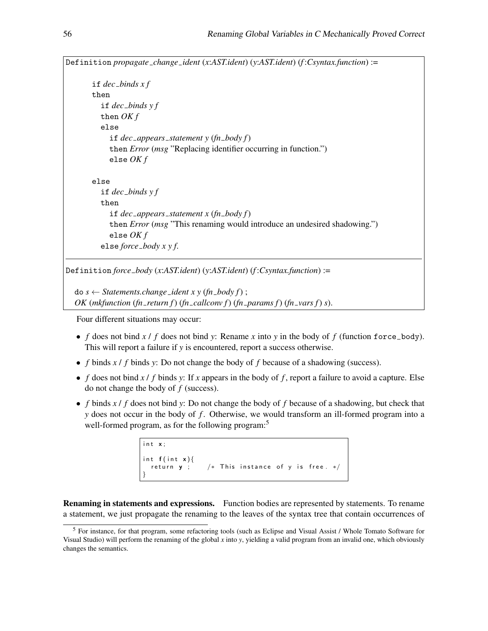Definition *propagate change ident* (*x*:*AST.ident*) (*y*:*AST.ident*) (*f* :*Csyntax.function*) := if *dec binds x f* then if *dec binds y f* then *OK f* else if *dec appears statement y* (*fn body f*) then *Error* (*msg* "Replacing identifier occurring in function.") else *OK f* else if *dec binds y f* then if  $dec\_\n<sub>approx</sub> represents <sub>statement</sub> x (fn\_\n<sub>body</sub> f)$ then *Error* (*msg* "This renaming would introduce an undesired shadowing.") else *OK f* else *force body x y f*. Definition *force body* (*x*:*AST.ident*) (*y*:*AST.ident*) (*f* :*Csyntax.function*) :=

 $d\sigma s \leftarrow$  *Statements.change\_ident x y (fn\_body f) ; OK* (*mkfunction* (*fn return f*) (*fn callconv f*) (*fn params f*) (*fn vars f*) *s*).

Four different situations may occur:

- *f* does not bind  $x / f$  does not bind  $y$ : Rename  $x$  into  $y$  in the body of  $f$  (function force body). This will report a failure if *y* is encountered, report a success otherwise.
- *f* binds *x* / *f* binds *y*: Do not change the body of *f* because of a shadowing (success).
- *f* does not bind  $x / f$  binds  $y$ : If  $x$  appears in the body of  $f$ , report a failure to avoid a capture. Else do not change the body of *f* (success).
- *f* binds *x* / *f* does not bind *y*: Do not change the body of *f* because of a shadowing, but check that *y* does not occur in the body of *f* . Otherwise, we would transform an ill-formed program into a well-formed program, as for the following program:<sup>[5](#page-6-0)</sup>

```
int x;
int f(int x){<br>return y ;
                    /* This instance of y is free. */}
```
Renaming in statements and expressions. Function bodies are represented by statements. To rename a statement, we just propagate the renaming to the leaves of the syntax tree that contain occurrences of

<span id="page-6-0"></span><sup>5</sup> For instance, for that program, some refactoring tools (such as Eclipse and Visual Assist / Whole Tomato Software for Visual Studio) will perform the renaming of the global *x* into *y*, yielding a valid program from an invalid one, which obviously changes the semantics.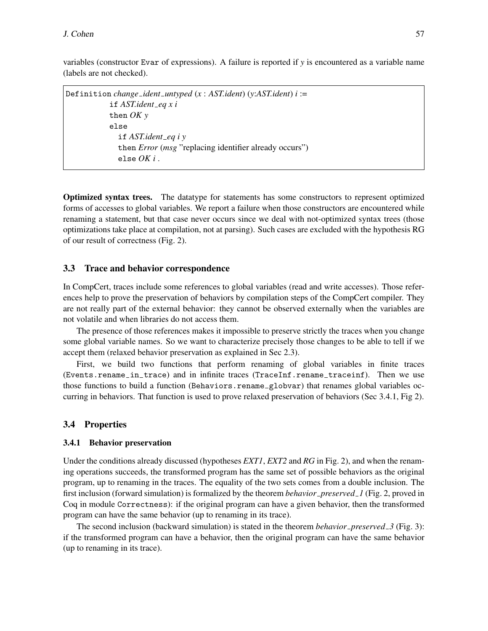variables (constructor Evar of expressions). A failure is reported if *y* is encountered as a variable name (labels are not checked).

```
Definition change ident untyped (x : AST.ident) (y:AST.ident) i :=
            if AST.ident eq x i
            then OK y
            else
              if AST.ident eq i y
              then Error (msg "replacing identifier already occurs")
              else OK i .
```
Optimized syntax trees. The datatype for statements has some constructors to represent optimized forms of accesses to global variables. We report a failure when those constructors are encountered while renaming a statement, but that case never occurs since we deal with not-optimized syntax trees (those optimizations take place at compilation, not at parsing). Such cases are excluded with the hypothesis RG of our result of correctness (Fig. [2\)](#page-8-0).

#### 3.3 Trace and behavior correspondence

In CompCert, traces include some references to global variables (read and write accesses). Those references help to prove the preservation of behaviors by compilation steps of the CompCert compiler. They are not really part of the external behavior: they cannot be observed externally when the variables are not volatile and when libraries do not access them.

The presence of those references makes it impossible to preserve strictly the traces when you change some global variable names. So we want to characterize precisely those changes to be able to tell if we accept them (relaxed behavior preservation as explained in Sec [2.3\)](#page-2-1).

First, we build two functions that perform renaming of global variables in finite traces (Events.rename in trace) and in infinite traces (TraceInf.rename traceinf). Then we use those functions to build a function (Behaviors.rename\_globvar) that renames global variables occurring in behaviors. That function is used to prove relaxed preservation of behaviors (Sec [3.4.1,](#page-7-0) Fig [2\)](#page-8-0).

#### 3.4 Properties

#### <span id="page-7-0"></span>3.4.1 Behavior preservation

Under the conditions already discussed (hypotheses *EXT1*, *EXT2* and *RG* in Fig. [2\)](#page-8-0), and when the renaming operations succeeds, the transformed program has the same set of possible behaviors as the original program, up to renaming in the traces. The equality of the two sets comes from a double inclusion. The first inclusion (forward simulation) is formalized by the theorem *behavior preserved 1* (Fig. [2,](#page-8-0) proved in Coq in module Correctness): if the original program can have a given behavior, then the transformed program can have the same behavior (up to renaming in its trace).

The second inclusion (backward simulation) is stated in the theorem *behavior preserved 3* (Fig. [3\)](#page-8-1): if the transformed program can have a behavior, then the original program can have the same behavior (up to renaming in its trace).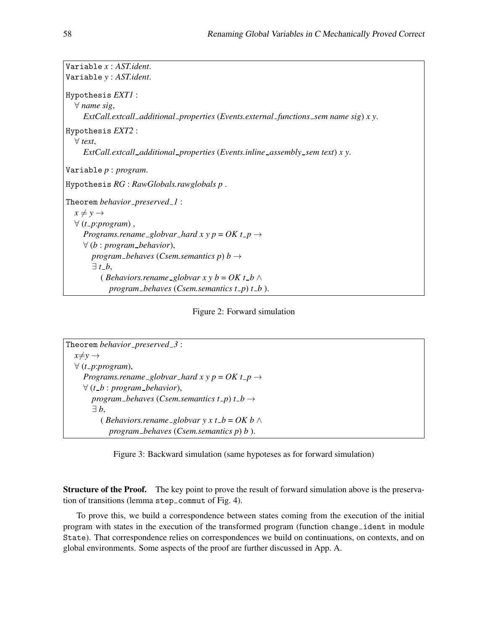| Variable $x:ASTident.$                                                                         |
|------------------------------------------------------------------------------------------------|
|                                                                                                |
| Variable y: AST.ident.                                                                         |
| Hypothesis <i>EXT1</i> :                                                                       |
| $\forall$ name sig,                                                                            |
| $ExtCall. {\it extendL}{additional\_properties}$ (Events.external_functions_sem name sig) x y. |
| Hypothesis <i>EXT2</i> :                                                                       |
| $\forall$ text,                                                                                |
| ExtCall.extcall_additional_properties (Events.inline_assembly_sem text) x y.                   |
|                                                                                                |
| Variable $p: program$ .                                                                        |
| Hypothesis $RG: RawGlobals$ . rawglobals $p$ .                                                 |
| Theorem behavior_preserved_1:                                                                  |
| $x \neq y \rightarrow$                                                                         |
| $\forall$ (t_p:program),                                                                       |
| Programs.rename_globvar_hard x y p = OK t_p $\rightarrow$                                      |
| $\forall$ (b : program_behavior),                                                              |
| program_behaves (Csem.semantics p) b $\rightarrow$                                             |
| $\exists t_{-}b,$                                                                              |
| ( <i>Behaviors.rename_globvar x y b = OK t_b</i> $\wedge$                                      |
| program_behaves (Csem.semantics $t$ -p) $t$ -b).                                               |

<span id="page-8-0"></span>

| Theorem behavior_preserved_3:                                               |  |
|-----------------------------------------------------------------------------|--|
| $x \neq y \rightarrow$                                                      |  |
| $\forall$ (t_p:program),                                                    |  |
| <i>Programs.rename_globvar_hard x y p = OK t_p <math>\rightarrow</math></i> |  |
| $\forall$ (t_b : program_behavior),                                         |  |
| program_behaves (Csem.semantics t_p) t_b $\rightarrow$                      |  |
| $\exists b$ ,                                                               |  |
| ( <i>Behaviors.rename_globvar</i> $y \times t_b = OK$ <i>b</i> $\wedge$     |  |
| program_behaves (Csem.semantics $p$ ) $b$ ).                                |  |

<span id="page-8-1"></span>Figure 3: Backward simulation (same hypoteses as for forward simulation)

Structure of the Proof. The key point to prove the result of forward simulation above is the preserva-tion of transitions (lemma step\_commut of Fig. [4\)](#page-9-1).

To prove this, we build a correspondence between states coming from the execution of the initial program with states in the execution of the transformed program (function change ident in module State). That correspondence relies on correspondences we build on continuations, on contexts, and on global environments. Some aspects of the proof are further discussed in App. [A.](#page-13-6)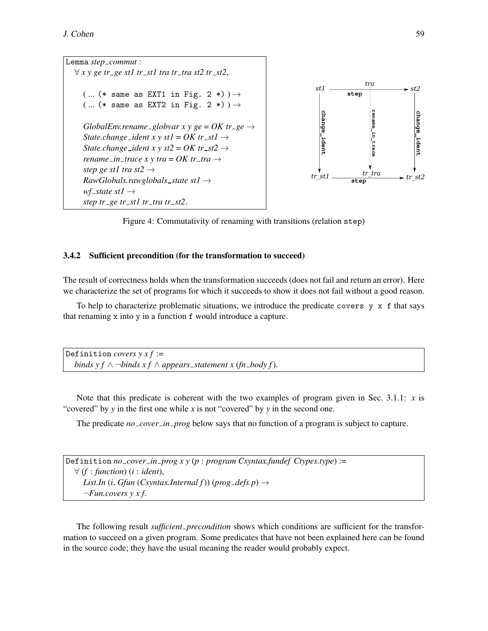

<span id="page-9-1"></span>Figure 4: Commutativity of renaming with transitions (relation step)

#### <span id="page-9-0"></span>3.4.2 Sufficient precondition (for the transformation to succeed)

The result of correctness holds when the transformation succeeds (does not fail and return an error). Here we characterize the set of programs for which it succeeds to show it does not fail without a good reason.

To help to characterize problematic situations, we introduce the predicate covers  $y \times f$  that says that renaming x into y in a function f would introduce a capture.

Definition *covers*  $y \times f :=$ *binds y f* ∧  $\neg$ *binds x f* ∧ *appears \_statement x* (*fn \_body f*).

Note that this predicate is coherent with the two examples of program given in Sec. [3.1.1:](#page-3-2) *x* is "covered" by *y* in the first one while *x* is not "covered" by *y* in the second one.

The predicate *no\_cover\_in\_prog* below says that no function of a program is subject to capture.

| Definition <i>no_cover_in_prog xy(p:program Csyntax.fundef Ctypes.type)</i> :=                              |
|-------------------------------------------------------------------------------------------------------------|
| $\forall$ (f : function) (i : ident),                                                                       |
| <i>List.In</i> ( <i>i</i> , <i>Gfun</i> ( <i>Csyntax.Internal f</i> )) ( <i>prog_defs p</i> ) $\rightarrow$ |
| $\neg Fun. covers \, y \, x \, f.$                                                                          |

The following result *sufficient precondition* shows which conditions are sufficient for the transformation to succeed on a given program. Some predicates that have not been explained here can be found in the source code; they have the usual meaning the reader would probably expect.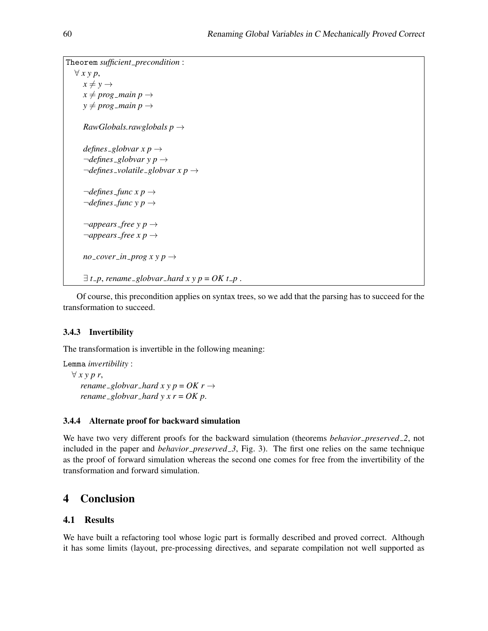```
Theorem sufficient precondition :
   ∀ x y p,
      x \neq y \rightarrowx \neq prog main p \rightarrowy \neq prog main p \rightarrowRawGlobals.rawglobals p →
      defines \text{g}lobvar x p \rightarrow\neg defines_globvar y p \rightarrow¬defines volatile globvar x p →
      \neg defines\_func x p \rightarrow¬defines func y p →
      \neg appears-free \, y \, p \rightarrow\neg appears-free x p \rightarrowno\_cover\_in\_prog x y p \rightarrow\exists t<sub>-</sub>p, rename-globvar-hard x y p = OK t<sub>-</sub>p.
```
Of course, this precondition applies on syntax trees, so we add that the parsing has to succeed for the transformation to succeed.

### 3.4.3 Invertibility

The transformation is invertible in the following meaning:

Lemma *invertibility* : ∀ *x y p r*, *rename*  $-globvar$  *hard*  $x \, y \, p = OK \, r \rightarrow$ *rename\_globvar\_hard y x r =*  $OK p$ *.* 

#### 3.4.4 Alternate proof for backward simulation

We have two very different proofs for the backward simulation (theorems *behavior preserved 2*, not included in the paper and *behavior preserved 3*, Fig. [3\)](#page-8-1). The first one relies on the same technique as the proof of forward simulation whereas the second one comes for free from the invertibility of the transformation and forward simulation.

## 4 Conclusion

#### 4.1 Results

We have built a refactoring tool whose logic part is formally described and proved correct. Although it has some limits (layout, pre-processing directives, and separate compilation not well supported as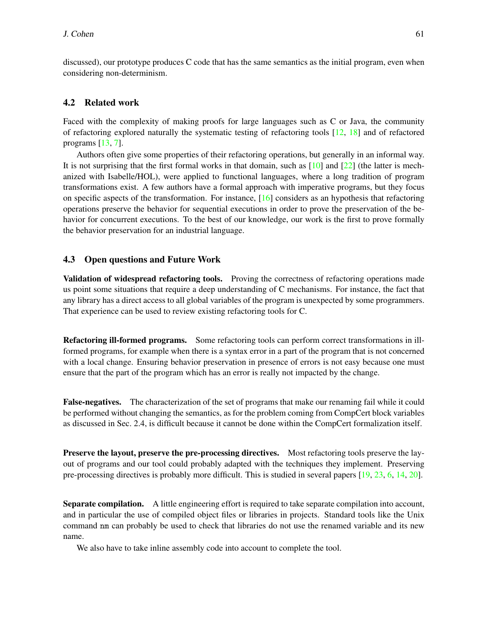discussed), our prototype produces C code that has the same semantics as the initial program, even when considering non-determinism.

#### 4.2 Related work

Faced with the complexity of making proofs for large languages such as C or Java, the community of refactoring explored naturally the systematic testing of refactoring tools [\[12,](#page-13-0) [18\]](#page-13-1) and of refactored programs [\[13,](#page-13-7) [7\]](#page-12-5).

Authors often give some properties of their refactoring operations, but generally in an informal way. It is not surprising that the first formal works in that domain, such as  $[10]$  and  $[22]$  (the latter is mechanized with Isabelle/HOL), were applied to functional languages, where a long tradition of program transformations exist. A few authors have a formal approach with imperative programs, but they focus on specific aspects of the transformation. For instance,  $[16]$  considers as an hypothesis that refactoring operations preserve the behavior for sequential executions in order to prove the preservation of the behavior for concurrent executions. To the best of our knowledge, our work is the first to prove formally the behavior preservation for an industrial language.

#### 4.3 Open questions and Future Work

Validation of widespread refactoring tools. Proving the correctness of refactoring operations made us point some situations that require a deep understanding of C mechanisms. For instance, the fact that any library has a direct access to all global variables of the program is unexpected by some programmers. That experience can be used to review existing refactoring tools for C.

Refactoring ill-formed programs. Some refactoring tools can perform correct transformations in illformed programs, for example when there is a syntax error in a part of the program that is not concerned with a local change. Ensuring behavior preservation in presence of errors is not easy because one must ensure that the part of the program which has an error is really not impacted by the change.

False-negatives. The characterization of the set of programs that make our renaming fail while it could be performed without changing the semantics, as for the problem coming from CompCert block variables as discussed in Sec. [2.4,](#page-3-3) is difficult because it cannot be done within the CompCert formalization itself.

Preserve the layout, preserve the pre-processing directives. Most refactoring tools preserve the layout of programs and our tool could probably adapted with the techniques they implement. Preserving pre-processing directives is probably more difficult. This is studied in several papers [\[19,](#page-13-8) [23,](#page-13-9) [6,](#page-12-6) [14,](#page-13-10) [20\]](#page-13-11).

Separate compilation. A little engineering effort is required to take separate compilation into account, and in particular the use of compiled object files or libraries in projects. Standard tools like the Unix command nm can probably be used to check that libraries do not use the renamed variable and its new name.

We also have to take inline assembly code into account to complete the tool.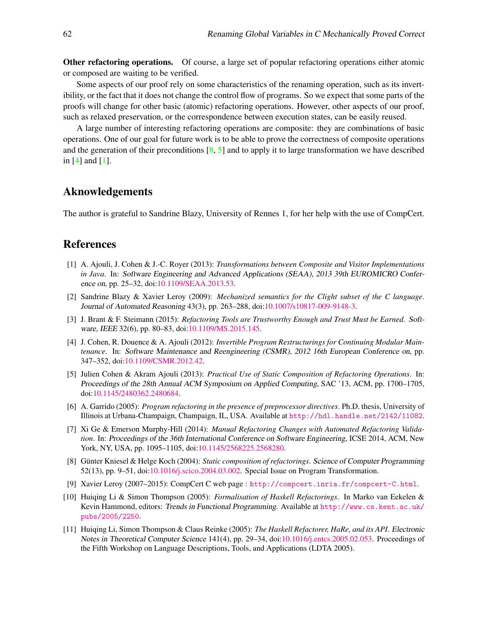Other refactoring operations. Of course, a large set of popular refactoring operations either atomic or composed are waiting to be verified.

Some aspects of our proof rely on some characteristics of the renaming operation, such as its invertibility, or the fact that it does not change the control flow of programs. So we expect that some parts of the proofs will change for other basic (atomic) refactoring operations. However, other aspects of our proof, such as relaxed preservation, or the correspondence between execution states, can be easily reused.

A large number of interesting refactoring operations are composite: they are combinations of basic operations. One of our goal for future work is to be able to prove the correctness of composite operations and the generation of their preconditions  $[8, 5]$  $[8, 5]$  $[8, 5]$  and to apply it to large transformation we have described in [\[4\]](#page-12-9) and [\[1\]](#page-12-10).

## Aknowledgements

The author is grateful to Sandrine Blazy, University of Rennes 1, for her help with the use of CompCert.

## References

- <span id="page-12-10"></span>[1] A. Ajouli, J. Cohen & J.-C. Royer (2013): *Transformations between Composite and Visitor Implementations in Java*. In: Software Engineering and Advanced Applications (SEAA), 2013 39th EUROMICRO Conference on, pp. 25–32, doi[:10.1109/SEAA.2013.53.](http://dx.doi.org/10.1109/SEAA.2013.53)
- <span id="page-12-3"></span>[2] Sandrine Blazy & Xavier Leroy (2009): *Mechanized semantics for the Clight subset of the C language*. Journal of Automated Reasoning 43(3), pp. 263–288, doi[:10.1007/s10817-009-9148-3.](http://dx.doi.org/10.1007/s10817-009-9148-3)
- <span id="page-12-1"></span>[3] J. Brant & F. Steimann (2015): *Refactoring Tools are Trustworthy Enough and Trust Must be Earned*. Software, IEEE 32(6), pp. 80–83, doi[:10.1109/MS.2015.145.](http://dx.doi.org/10.1109/MS.2015.145)
- <span id="page-12-9"></span>[4] J. Cohen, R. Douence & A. Ajouli (2012): *Invertible Program Restructurings for Continuing Modular Maintenance*. In: Software Maintenance and Reengineering (CSMR), 2012 16th European Conference on, pp. 347–352, doi[:10.1109/CSMR.2012.42.](http://dx.doi.org/10.1109/CSMR.2012.42)
- <span id="page-12-8"></span>[5] Julien Cohen & Akram Ajouli (2013): *Practical Use of Static Composition of Refactoring Operations*. In: Proceedings of the 28th Annual ACM Symposium on Applied Computing, SAC '13, ACM, pp. 1700–1705, doi[:10.1145/2480362.2480684.](http://dx.doi.org/10.1145/2480362.2480684)
- <span id="page-12-6"></span>[6] A. Garrido (2005): *Program refactoring in the presence of preprocessor directives*. Ph.D. thesis, University of Illinois at Urbana-Champaign, Champaign, IL, USA. Available at <http://hdl.handle.net/2142/11082>.
- <span id="page-12-5"></span>[7] Xi Ge & Emerson Murphy-Hill (2014): *Manual Refactoring Changes with Automated Refactoring Validation*. In: Proceedings of the 36th International Conference on Software Engineering, ICSE 2014, ACM, New York, NY, USA, pp. 1095–1105, doi[:10.1145/2568225.2568280.](http://dx.doi.org/10.1145/2568225.2568280)
- <span id="page-12-7"></span>[8] Günter Kniesel & Helge Koch (2004): *Static composition of refactorings*. Science of Computer Programming 52(13), pp. 9–51, doi[:10.1016/j.scico.2004.03.002.](http://dx.doi.org/10.1016/j.scico.2004.03.002) Special Issue on Program Transformation.
- <span id="page-12-4"></span>[9] Xavier Leroy (2007–2015): CompCert C web page : <http://compcert.inria.fr/compcert-C.html>.
- <span id="page-12-2"></span>[10] Huiqing Li & Simon Thompson (2005): *Formalisation of Haskell Refactorings*. In Marko van Eekelen & Kevin Hammond, editors: Trends in Functional Programming. Available at [http://www.cs.kent.ac.uk/](http://www.cs.kent.ac.uk/pubs/2005/2250) [pubs/2005/2250](http://www.cs.kent.ac.uk/pubs/2005/2250).
- <span id="page-12-0"></span>[11] Huiqing Li, Simon Thompson & Claus Reinke (2005): *The Haskell Refactorer, HaRe, and its API*. Electronic Notes in Theoretical Computer Science 141(4), pp. 29–34, doi[:10.1016/j.entcs.2005.02.053.](http://dx.doi.org/10.1016/j.entcs.2005.02.053) Proceedings of the Fifth Workshop on Language Descriptions, Tools, and Applications (LDTA 2005).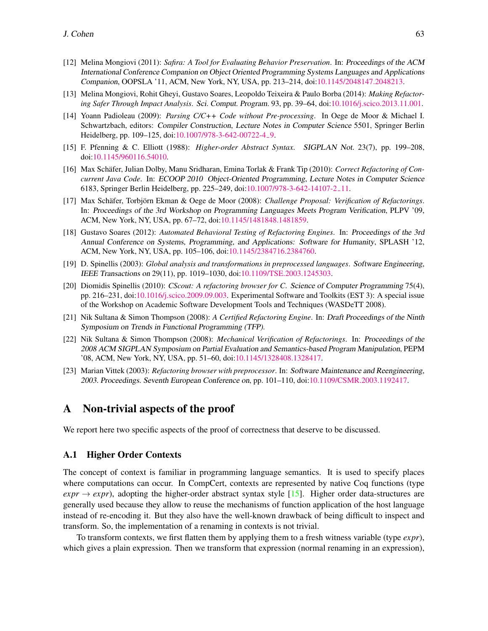- <span id="page-13-0"></span>[12] Melina Mongiovi (2011): *Safira: A Tool for Evaluating Behavior Preservation*. In: Proceedings of the ACM International Conference Companion on Object Oriented Programming Systems Languages and Applications Companion, OOPSLA '11, ACM, New York, NY, USA, pp. 213–214, doi[:10.1145/2048147.2048213.](http://dx.doi.org/10.1145/2048147.2048213)
- <span id="page-13-7"></span>[13] Melina Mongiovi, Rohit Gheyi, Gustavo Soares, Leopoldo Teixeira & Paulo Borba (2014): *Making Refactoring Safer Through Impact Analysis*. Sci. Comput. Program. 93, pp. 39–64, doi[:10.1016/j.scico.2013.11.001.](http://dx.doi.org/10.1016/j.scico.2013.11.001)
- <span id="page-13-10"></span>[14] Yoann Padioleau (2009): *Parsing C/C++ Code without Pre-processing*. In Oege de Moor & Michael I. Schwartzbach, editors: Compiler Construction, Lecture Notes in Computer Science 5501, Springer Berlin Heidelberg, pp. 109-125, doi[:10.1007/978-3-642-00722-4](http://dx.doi.org/10.1007/978-3-642-00722-4_9)<sub>-9</sub>.
- <span id="page-13-12"></span>[15] F. Pfenning & C. Elliott (1988): *Higher-order Abstract Syntax*. SIGPLAN Not. 23(7), pp. 199–208, doi[:10.1145/960116.54010.](http://dx.doi.org/10.1145/960116.54010)
- <span id="page-13-3"></span>[16] Max Schäfer, Julian Dolby, Manu Sridharan, Emina Torlak & Frank Tip (2010): *Correct Refactoring of Concurrent Java Code*. In: ECOOP 2010 Object-Oriented Programming, Lecture Notes in Computer Science 6183, Springer Berlin Heidelberg, pp. 225–249, doi[:10.1007/978-3-642-14107-2](http://dx.doi.org/10.1007/978-3-642-14107-2_11) 11.
- <span id="page-13-2"></span>[17] Max Schäfer, Torbjörn Ekman & Oege de Moor (2008): *Challenge Proposal: Verification of Refactorings*. In: Proceedings of the 3rd Workshop on Programming Languages Meets Program Verification, PLPV '09, ACM, New York, NY, USA, pp. 67–72, doi[:10.1145/1481848.1481859.](http://dx.doi.org/10.1145/1481848.1481859)
- <span id="page-13-1"></span>[18] Gustavo Soares (2012): *Automated Behavioral Testing of Refactoring Engines*. In: Proceedings of the 3rd Annual Conference on Systems, Programming, and Applications: Software for Humanity, SPLASH '12, ACM, New York, NY, USA, pp. 105–106, doi[:10.1145/2384716.2384760.](http://dx.doi.org/10.1145/2384716.2384760)
- <span id="page-13-8"></span>[19] D. Spinellis (2003): *Global analysis and transformations in preprocessed languages*. Software Engineering, IEEE Transactions on 29(11), pp. 1019–1030, doi[:10.1109/TSE.2003.1245303.](http://dx.doi.org/10.1109/TSE.2003.1245303)
- <span id="page-13-11"></span>[20] Diomidis Spinellis (2010): *CScout: A refactoring browser for C*. Science of Computer Programming 75(4), pp. 216–231, doi[:10.1016/j.scico.2009.09.003.](http://dx.doi.org/10.1016/j.scico.2009.09.003) Experimental Software and Toolkits (EST 3): A special issue of the Workshop on Academic Software Development Tools and Techniques (WASDeTT 2008).
- <span id="page-13-5"></span>[21] Nik Sultana & Simon Thompson (2008): *A Certified Refactoring Engine*. In: Draft Proceedings of the Ninth Symposium on Trends in Functional Programming (TFP).
- <span id="page-13-4"></span>[22] Nik Sultana & Simon Thompson (2008): *Mechanical Verification of Refactorings*. In: Proceedings of the 2008 ACM SIGPLAN Symposium on Partial Evaluation and Semantics-based Program Manipulation, PEPM '08, ACM, New York, NY, USA, pp. 51–60, doi[:10.1145/1328408.1328417.](http://dx.doi.org/10.1145/1328408.1328417)
- <span id="page-13-9"></span>[23] Marian Vittek (2003): *Refactoring browser with preprocessor*. In: Software Maintenance and Reengineering, 2003. Proceedings. Seventh European Conference on, pp. 101–110, doi[:10.1109/CSMR.2003.1192417.](http://dx.doi.org/10.1109/CSMR.2003.1192417)

## <span id="page-13-6"></span>A Non-trivial aspects of the proof

We report here two specific aspects of the proof of correctness that deserve to be discussed.

#### A.1 Higher Order Contexts

The concept of context is familiar in programming language semantics. It is used to specify places where computations can occur. In CompCert, contexts are represented by native Coq functions (type  $\exp r \rightarrow \exp r$ ), adopting the higher-order abstract syntax style [\[15\]](#page-13-12). Higher order data-structures are generally used because they allow to reuse the mechanisms of function application of the host language instead of re-encoding it. But they also have the well-known drawback of being difficult to inspect and transform. So, the implementation of a renaming in contexts is not trivial.

To transform contexts, we first flatten them by applying them to a fresh witness variable (type *expr*), which gives a plain expression. Then we transform that expression (normal renaming in an expression),